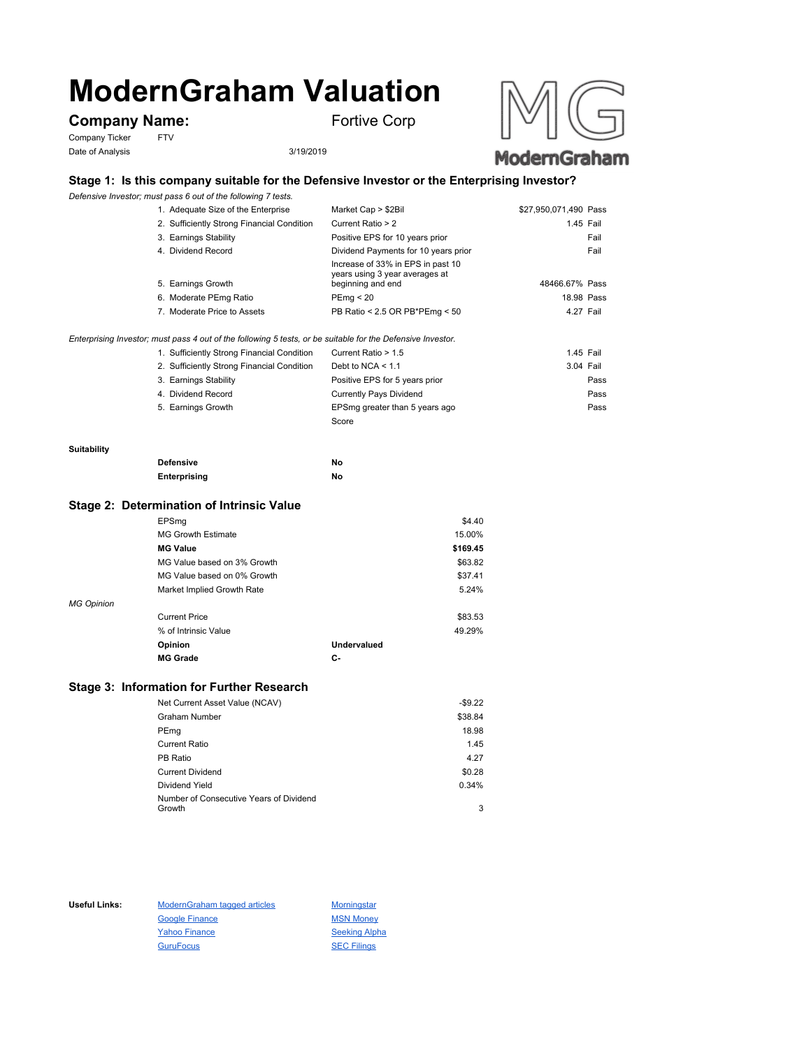# **ModernGraham Valuation**

## **Company Name:** Fortive Corp

Company Ticker FTV Date of Analysis 3/19/2019





#### **Stage 1: Is this company suitable for the Defensive Investor or the Enterprising Investor?**

*Defensive Investor; must pass 6 out of the following 7 tests.*

|                       | 1. Adequate Size of the Enterprise         | Market Cap > \$2Bil                                                                                         | \$27,950,071,490 Pass |
|-----------------------|--------------------------------------------|-------------------------------------------------------------------------------------------------------------|-----------------------|
|                       | 2. Sufficiently Strong Financial Condition | Current Ratio > 2                                                                                           | 1.45 Fail             |
| 3. Earnings Stability |                                            | Positive EPS for 10 years prior                                                                             | Fail                  |
| 4. Dividend Record    |                                            | Dividend Payments for 10 years prior                                                                        | Fail                  |
| 5. Earnings Growth    |                                            | Increase of 33% in EPS in past 10<br>years using 3 year averages at<br>beginning and end                    | 48466.67% Pass        |
|                       | 6. Moderate PEmg Ratio                     | PEmg < 20                                                                                                   | 18.98 Pass            |
|                       | 7. Moderate Price to Assets                | PB Ratio < 2.5 OR PB*PEmg < 50                                                                              | 4.27 Fail             |
|                       |                                            | Enterprising Investor; must pass 4 out of the following 5 tests, or be suitable for the Defensive Investor. |                       |

| 1. Sufficiently Strong Financial Condition | Current Ratio > 1.5            | 1.45 Fail |      |
|--------------------------------------------|--------------------------------|-----------|------|
| 2. Sufficiently Strong Financial Condition | Debt to NCA $\leq 1.1$         | 3.04 Fail |      |
| 3. Earnings Stability                      | Positive EPS for 5 years prior |           | Pass |
| 4. Dividend Record                         | Currently Pays Dividend        |           | Pass |
| 5. Earnings Growth                         | EPSmg greater than 5 years ago |           | Pass |
|                                            | Score                          |           |      |

#### **Suitability**

| <b>Defensive</b> | No |
|------------------|----|
| Enterprising     | No |

#### **Stage 2: Determination of Intrinsic Value**

|                   | EPSmg                       |             | \$4.40   |
|-------------------|-----------------------------|-------------|----------|
|                   | <b>MG Growth Estimate</b>   |             | 15.00%   |
|                   | <b>MG Value</b>             |             | \$169.45 |
|                   | MG Value based on 3% Growth |             | \$63.82  |
|                   | MG Value based on 0% Growth |             | \$37.41  |
|                   | Market Implied Growth Rate  |             | 5.24%    |
| <b>MG Opinion</b> |                             |             |          |
|                   | <b>Current Price</b>        |             | \$83.53  |
|                   | % of Intrinsic Value        |             | 49.29%   |
|                   | Opinion                     | Undervalued |          |
|                   | <b>MG Grade</b>             | С-          |          |
|                   |                             |             |          |

#### **Stage 3: Information for Further Research**

| Net Current Asset Value (NCAV)          | $-$9.22$ |
|-----------------------------------------|----------|
| Graham Number                           | \$38.84  |
| PEmg                                    | 18.98    |
| Current Ratio                           | 1.45     |
| PB Ratio                                | 4.27     |
| <b>Current Dividend</b>                 | \$0.28   |
| Dividend Yield                          | 0.34%    |
| Number of Consecutive Years of Dividend |          |
| Growth                                  | 3        |

Useful Links: ModernGraham tagged articles Morningstar Google Finance MSN Money Yahoo Finance Seeking Alpha GuruFocus SEC Filings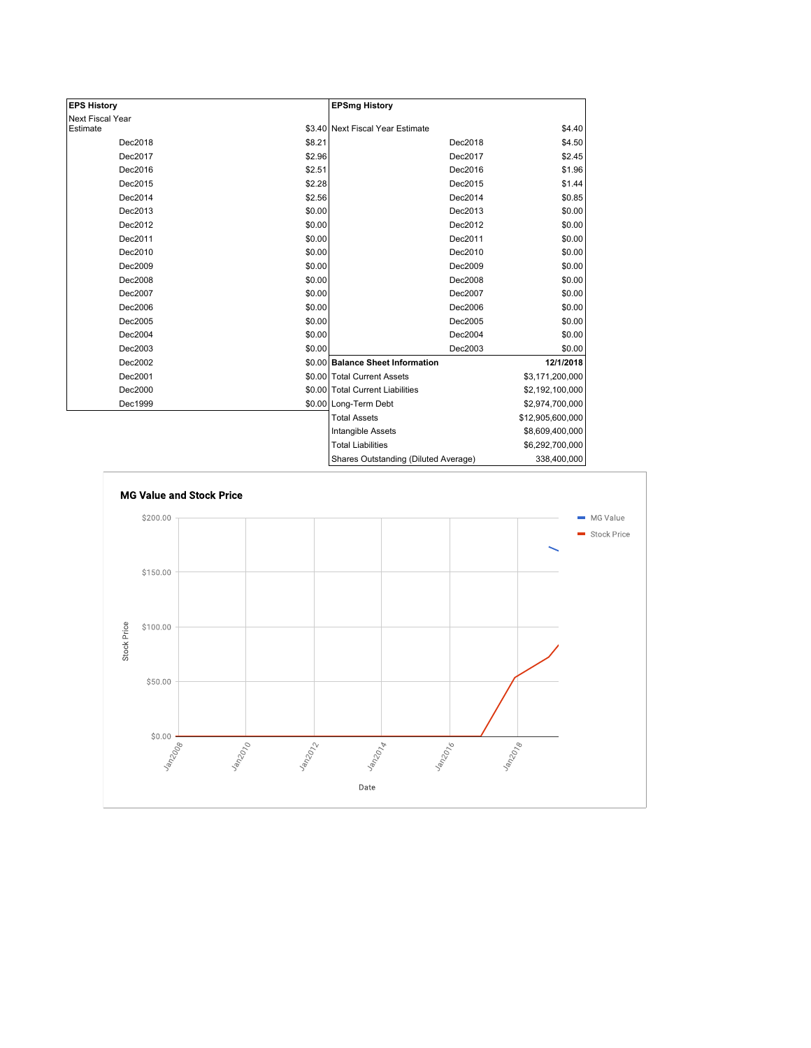| <b>EPS History</b> |        | <b>EPSmg History</b>                 |                  |
|--------------------|--------|--------------------------------------|------------------|
| Next Fiscal Year   |        |                                      |                  |
| Estimate           |        | \$3.40 Next Fiscal Year Estimate     | \$4.40           |
| Dec2018            | \$8.21 | Dec2018                              | \$4.50           |
| Dec2017            | \$2.96 | Dec2017                              | \$2.45           |
| Dec2016            | \$2.51 | Dec2016                              | \$1.96           |
| Dec2015            | \$2.28 | Dec2015                              | \$1.44           |
| Dec2014            | \$2.56 | Dec2014                              | \$0.85           |
| Dec2013            | \$0.00 | Dec2013                              | \$0.00           |
| Dec2012            | \$0.00 | Dec2012                              | \$0.00           |
| Dec2011            | \$0.00 | Dec2011                              | \$0.00           |
| Dec2010            | \$0.00 | Dec2010                              | \$0.00           |
| Dec2009            | \$0.00 | Dec2009                              | \$0.00           |
| Dec2008            | \$0.00 | Dec2008                              | \$0.00           |
| Dec2007            | \$0.00 | Dec2007                              | \$0.00           |
| Dec2006            | \$0.00 | Dec2006                              | \$0.00           |
| Dec2005            | \$0.00 | Dec2005                              | \$0.00           |
| Dec2004            | \$0.00 | Dec2004                              | \$0.00           |
| Dec2003            | \$0.00 | Dec2003                              | \$0.00           |
| Dec2002            |        | \$0.00 Balance Sheet Information     | 12/1/2018        |
| Dec2001            |        | \$0.00 Total Current Assets          | \$3,171,200,000  |
| Dec2000            |        | \$0.00 Total Current Liabilities     | \$2,192,100,000  |
| Dec1999            |        | \$0.00 Long-Term Debt                | \$2,974,700,000  |
|                    |        | <b>Total Assets</b>                  | \$12,905,600,000 |
|                    |        | Intangible Assets                    | \$8,609,400,000  |
|                    |        | <b>Total Liabilities</b>             | \$6,292,700,000  |
|                    |        | Shares Outstanding (Diluted Average) | 338,400,000      |